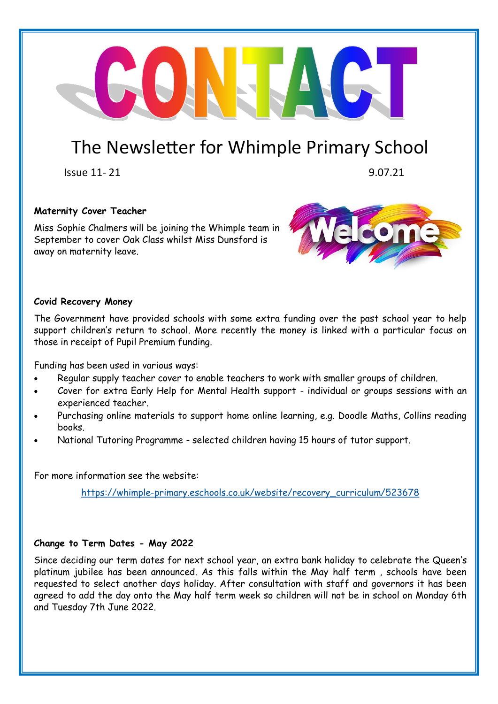### The Newsletter for Whimple Primary School

NETALET

 $Is \cup B = 11 - 21$  9.07.21

#### **Maternity Cover Teacher**

Miss Sophie Chalmers will be joining the Whimple team in September to cover Oak Class whilst Miss Dunsford is away on maternity leave.



#### **Covid Recovery Money**

The Government have provided schools with some extra funding over the past school year to help support children's return to school. More recently the money is linked with a particular focus on those in receipt of Pupil Premium funding.

Funding has been used in various ways:

- Regular supply teacher cover to enable teachers to work with smaller groups of children.
- Cover for extra Early Help for Mental Health support individual or groups sessions with an experienced teacher.
- Purchasing online materials to support home online learning, e.g. Doodle Maths, Collins reading books.
- National Tutoring Programme selected children having 15 hours of tutor support.

For more information see the website:

https://whimple-[primary.eschools.co.uk/website/recovery\\_curriculum/523678](https://whimple-primary.eschools.co.uk/website/recovery_curriculum/523678)

#### **Change to Term Dates - May 2022**

Since deciding our term dates for next school year, an extra bank holiday to celebrate the Queen's platinum jubilee has been announced. As this falls within the May half term , schools have been requested to select another days holiday. After consultation with staff and governors it has been agreed to add the day onto the May half term week so children will not be in school on Monday 6th and Tuesday 7th June 2022.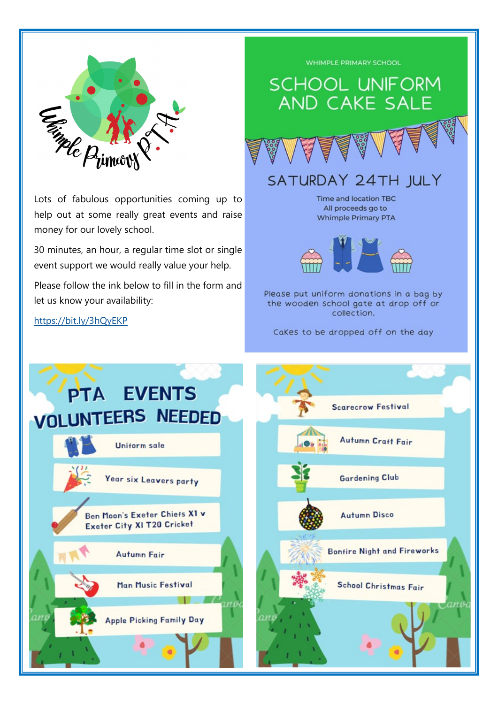

Lots of fabulous opportunities coming up to help out at some really great events and raise money for our lovely school.

30 minutes, an hour, a regular time slot or single event support we would really value your help.

Please follow the ink below to fill in the form and let us know your availability:

<https://bit.ly/3hQyEKP>

## WHIMPLE PRIMARY SCHOOL **SCHOOL UNIFORM** AND CAKE SALE SATURDAY 24TH JULY Time and location TBC All proceeds go to **Whimple Primary PTA**



Please put uniform donations in a bag by the wooden school gate at drop off or collection.

CaKes to be dropped off on the day